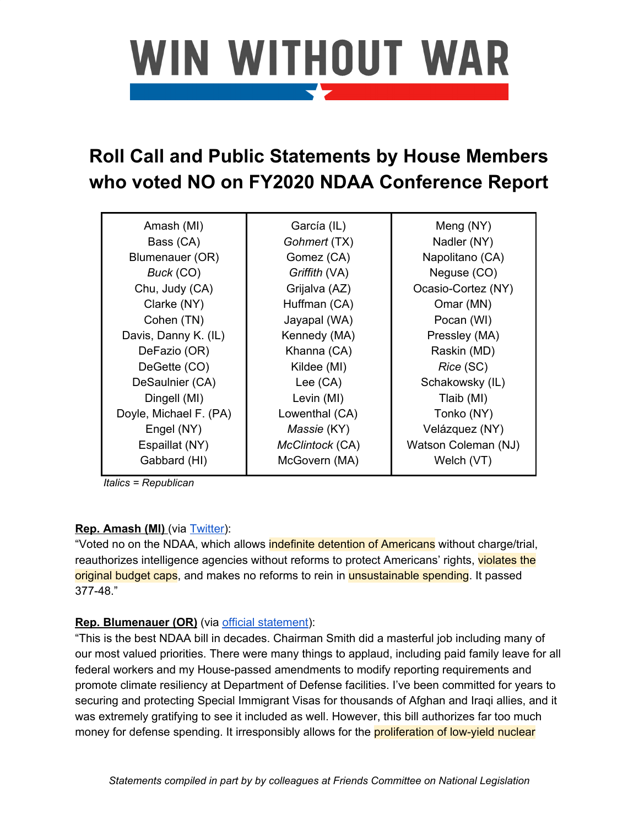# **WIN WITHOUT WAR**

### **Roll Call and Public Statements by House Members who voted NO on FY2020 NDAA Conference Report**

| Amash (MI)             | García (IL)     | Meng (NY)           |
|------------------------|-----------------|---------------------|
| Bass (CA)              | Gohmert (TX)    | Nadler (NY)         |
| Blumenauer (OR)        | Gomez (CA)      | Napolitano (CA)     |
| Buck (CO)              | Griffith (VA)   | Neguse (CO)         |
| Chu, Judy (CA)         | Grijalva (AZ)   | Ocasio-Cortez (NY)  |
| Clarke (NY)            | Huffman (CA)    | Omar (MN)           |
| Cohen (TN)             | Jayapal (WA)    | Pocan (WI)          |
| Davis, Danny K. (IL)   | Kennedy (MA)    | Pressley (MA)       |
| DeFazio (OR)           | Khanna (CA)     | Raskin (MD)         |
| DeGette (CO)           | Kildee (MI)     | Rice (SC)           |
| DeSaulnier (CA)        | Lee $(CA)$      | Schakowsky (IL)     |
| Dingell (MI)           | Levin (MI)      | Tlaib (MI)          |
| Doyle, Michael F. (PA) | Lowenthal (CA)  | Tonko (NY)          |
| Engel (NY)             | Massie (KY)     | Velázquez (NY)      |
| Espaillat (NY)         | McClintock (CA) | Watson Coleman (NJ) |
| Gabbard (HI)           | McGovern (MA)   | Welch (VT)          |
|                        |                 |                     |

*Italics = Republican*

#### **Rep. Amash (MI)** (via [Twitter\)](https://twitter.com/justinamash/status/1204893811710844929):

"Voted no on the NDAA, which allows indefinite detention of Americans without charge/trial, reauthorizes intelligence agencies without reforms to protect Americans' rights, violates the original budget caps, and makes no reforms to rein in unsustainable spending. It passed 377-48."

#### **Rep. Blumenauer (OR)** (via official [statement\)](https://blumenauer.house.gov/media-center/press-releases/congressman-blumenauer-statement-national-defense-authorization-act):

"This is the best NDAA bill in decades. Chairman Smith did a masterful job including many of our most valued priorities. There were many things to applaud, including paid family leave for all federal workers and my House-passed amendments to modify reporting requirements and promote climate resiliency at Department of Defense facilities. I've been committed for years to securing and protecting Special Immigrant Visas for thousands of Afghan and Iraqi allies, and it was extremely gratifying to see it included as well. However, this bill authorizes far too much money for defense spending. It irresponsibly allows for the **proliferation of low-yield nuclear**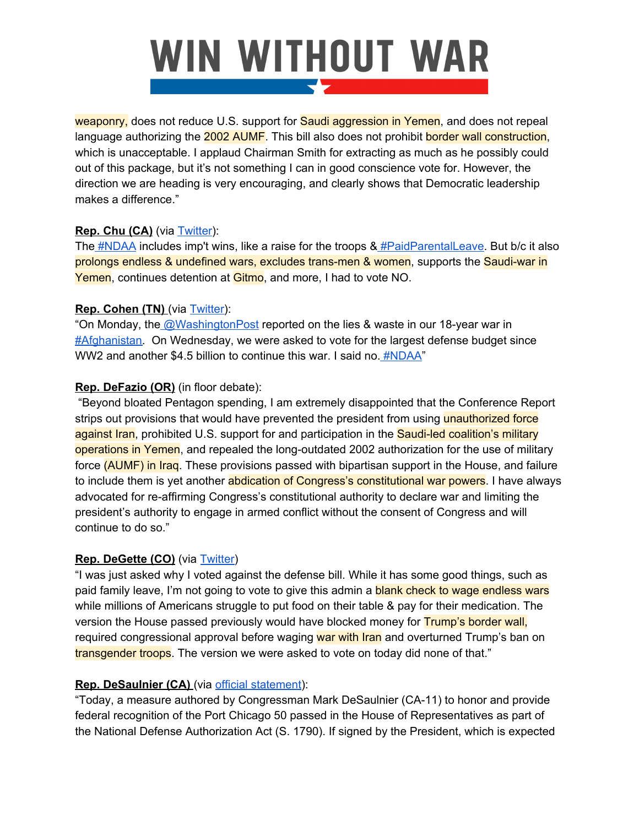### **WIN WITHOUT WAR** <u>and the state of the state of the state of the state of the state of the state of the state of the state of the state of the state of the state of the state of the state of the state of the state of the state of the state</u>

weaponry, does not reduce U.S. support for **Saudi aggression in Yemen**, and does not repeal language authorizing the 2002 AUMF. This bill also does not prohibit border wall construction, which is unacceptable. I applaud Chairman Smith for extracting as much as he possibly could out of this package, but it's not something I can in good conscience vote for. However, the direction we are heading is very encouraging, and clearly shows that Democratic leadership makes a difference."

#### **Rep. Chu (CA)** (via [Twitter](https://twitter.com/RepJudyChu/status/1204904734089502720)):

The [#NDAA](https://twitter.com/hashtag/NDAA?src=hashtag_click) includes imp't wins, like a raise for the troops & [#PaidParentalLeave.](https://twitter.com/hashtag/PaidParentalLeave?src=hashtag_click) But b/c it also prolongs endless & undefined wars, excludes trans-men & women, supports the Saudi-war in Yemen, continues detention at Gitmo, and more, I had to vote NO.

#### **Rep. Cohen (TN)** (via [Twitter\)](https://twitter.com/RepCohen/status/1205490226262622209):

"On Monday, the [@WashingtonPost](https://twitter.com/washingtonpost) reported on the lies & waste in our 18-year war i[n](https://twitter.com/hashtag/Afghanistan?src=hashtag_click) [#Afghanistan](https://twitter.com/hashtag/Afghanistan?src=hashtag_click). On Wednesday, we were asked to vote for the largest defense budget since WW2 and another \$4.5 billion to continue this war. I said no. [#NDAA](https://twitter.com/hashtag/NDAA?src=hashtag_click)"

#### **Rep. DeFazio (OR)** (in floor debate):

"Beyond bloated Pentagon spending, I am extremely disappointed that the Conference Report strips out provisions that would have prevented the president from using unauthorized force against Iran, prohibited U.S. support for and participation in the Saudi-led coalition's military operations in Yemen, and repealed the long-outdated 2002 authorization for the use of military force (AUMF) in Iraq. These provisions passed with bipartisan support in the House, and failure to include them is yet another abdication of Congress's constitutional war powers. I have always advocated for re-affirming Congress's constitutional authority to declare war and limiting the president's authority to engage in armed conflict without the consent of Congress and will continue to do so."

#### **Rep. DeGette (CO)** (via [Twitter\)](https://twitter.com/RepDianaDeGette/status/1204911863449956352)

"I was just asked why I voted against the defense bill. While it has some good things, such as paid family leave, I'm not going to vote to give this admin a **blank check to wage endless wars** while millions of Americans struggle to put food on their table & pay for their medication. The version the House passed previously would have blocked money for Trump's border wall, required congressional approval before waging war with Iran and overturned Trump's ban on transgender troops. The version we were asked to vote on today did none of that."

#### **Rep. DeSaulnier (CA)** (via official [statement\)](https://desaulnier.house.gov/media-center/press-releases/desaulnier-effort-honoring-port-chicago-50-passes-house):

"Today, a measure authored by Congressman Mark DeSaulnier (CA-11) to honor and provide federal recognition of the Port Chicago 50 passed in the House of Representatives as part of the National Defense Authorization Act (S. 1790). If signed by the President, which is expected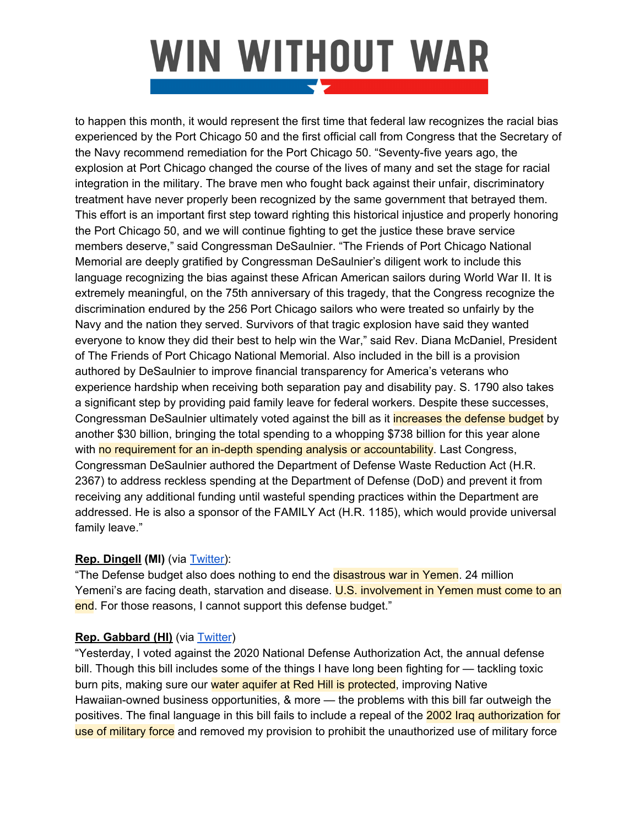### **WIN WITHOUT WAR** <u>and the state of the state of the state of the state of the state of the state of the state of the state of the state of the state of the state of the state of the state of the state of the state of the state of the state</u>

to happen this month, it would represent the first time that federal law recognizes the racial bias experienced by the Port Chicago 50 and the first official call from Congress that the Secretary of the Navy recommend remediation for the Port Chicago 50. "Seventy-five years ago, the explosion at Port Chicago changed the course of the lives of many and set the stage for racial integration in the military. The brave men who fought back against their unfair, discriminatory treatment have never properly been recognized by the same government that betrayed them. This effort is an important first step toward righting this historical injustice and properly honoring the Port Chicago 50, and we will continue fighting to get the justice these brave service members deserve," said Congressman DeSaulnier. "The Friends of Port Chicago National Memorial are deeply gratified by Congressman DeSaulnier's diligent work to include this language recognizing the bias against these African American sailors during World War II. It is extremely meaningful, on the 75th anniversary of this tragedy, that the Congress recognize the discrimination endured by the 256 Port Chicago sailors who were treated so unfairly by the Navy and the nation they served. Survivors of that tragic explosion have said they wanted everyone to know they did their best to help win the War," said Rev. Diana McDaniel, President of The Friends of Port Chicago National Memorial. Also included in the bill is a provision authored by DeSaulnier to improve financial transparency for America's veterans who experience hardship when receiving both separation pay and disability pay. S. 1790 also takes a significant step by providing paid family leave for federal workers. Despite these successes, Congressman DeSaulnier ultimately voted against the bill as it increases the defense budget by another \$30 billion, bringing the total spending to a whopping \$738 billion for this year alone with no requirement for an in-depth spending analysis or accountability. Last Congress, Congressman DeSaulnier authored the Department of Defense Waste Reduction Act (H.R. 2367) to address reckless spending at the Department of Defense (DoD) and prevent it from receiving any additional funding until wasteful spending practices within the Department are addressed. He is also a sponsor of the FAMILY Act (H.R. 1185), which would provide universal family leave."

#### **Rep. Dingell (MI)** (via [Twitter\)](https://twitter.com/RepDebDingell/status/1204793624556396551):

"The Defense budget also does nothing to end the **disastrous war in Yemen**. 24 million Yemeni's are facing death, starvation and disease. U.S. involvement in Yemen must come to an end. For those reasons, I cannot support this defense budget."

#### **Rep. Gabbard (HI)** (via [Twitter](https://twitter.com/TulsiPress/status/1205310077701365760))

"Yesterday, I voted against the 2020 National Defense Authorization Act, the annual defense bill. Though this bill includes some of the things I have long been fighting for — tackling toxic burn pits, making sure our water aquifer at Red Hill is protected, improving Native Hawaiian-owned business opportunities, & more — the problems with this bill far outweigh the positives. The final language in this bill fails to include a repeal of the 2002 Iraq authorization for use of military force and removed my provision to prohibit the unauthorized use of military force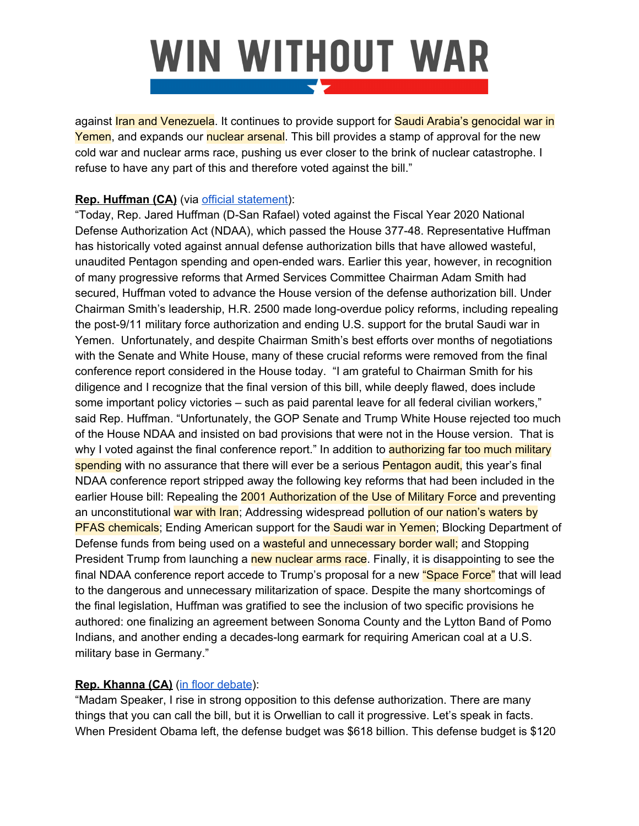## **WIN WITHOUT WAR** <u> 1989 - Jan Barat, politik politik (</u>

against Iran and Venezuela. It continues to provide support for Saudi Arabia's genocidal war in Yemen, and expands our nuclear arsenal. This bill provides a stamp of approval for the new cold war and nuclear arms race, pushing us ever closer to the brink of nuclear catastrophe. I refuse to have any part of this and therefore voted against the bill."

#### **Rep. Huffman (CA)** (via official [statement\)](https://huffman.house.gov/media-center/press-releases/rep-huffman-votes-against-2020-defense-authorization):

"Today, Rep. Jared Huffman (D-San Rafael) voted against the Fiscal Year 2020 National Defense Authorization Act (NDAA), which passed the House 377-48. Representative Huffman has historically voted against annual defense authorization bills that have allowed wasteful, unaudited Pentagon spending and open-ended wars. Earlier this year, however, in recognition of many progressive reforms that Armed Services Committee Chairman Adam Smith had secured, Huffman voted to advance the House version of the defense authorization bill. Under Chairman Smith's leadership, H.R. 2500 made long-overdue policy reforms, including repealing the post-9/11 military force authorization and ending U.S. support for the brutal Saudi war in Yemen. Unfortunately, and despite Chairman Smith's best efforts over months of negotiations with the Senate and White House, many of these crucial reforms were removed from the final conference report considered in the House today. "I am grateful to Chairman Smith for his diligence and I recognize that the final version of this bill, while deeply flawed, does include some important policy victories – such as paid parental leave for all federal civilian workers," said Rep. Huffman. "Unfortunately, the GOP Senate and Trump White House rejected too much of the House NDAA and insisted on bad provisions that were not in the House version. That is why I voted against the final conference report." In addition to **authorizing far too much military** spending with no assurance that there will ever be a serious Pentagon audit, this year's final NDAA conference report stripped away the following key reforms that had been included in the earlier House bill: Repealing the 2001 Authorization of the Use of Military Force and preventing an unconstitutional war with Iran; Addressing widespread pollution of our nation's waters by PFAS chemicals; Ending American support for the Saudi war in Yemen; Blocking Department of Defense funds from being used on a **wasteful and unnecessary border wall**; and Stopping President Trump from launching a new nuclear arms race. Finally, it is disappointing to see the final NDAA conference report accede to Trump's proposal for a new "Space Force" that will lead to the dangerous and unnecessary militarization of space. Despite the many shortcomings of the final legislation, Huffman was gratified to see the inclusion of two specific provisions he authored: one finalizing an agreement between Sonoma County and the Lytton Band of Pomo Indians, and another ending a decades-long earmark for requiring American coal at a U.S. military base in Germany."

#### **Rep. Khanna (CA)** (in floor [debate\)](https://twitter.com/RepRoKhanna/status/1204884415136116737):

"Madam Speaker, I rise in strong opposition to this defense authorization. There are many things that you can call the bill, but it is Orwellian to call it progressive. Let's speak in facts. When President Obama left, the defense budget was \$618 billion. This defense budget is \$120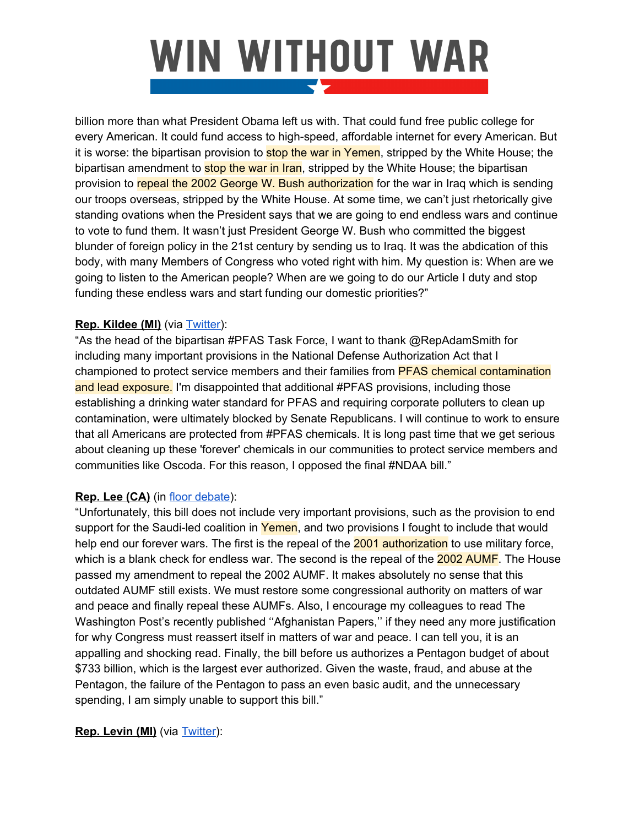### **WIN WITHOUT WAR The Company of Company**

billion more than what President Obama left us with. That could fund free public college for every American. It could fund access to high-speed, affordable internet for every American. But it is worse: the bipartisan provision to **stop the war in Yemen**, stripped by the White House; the bipartisan amendment to stop the war in Iran, stripped by the White House; the bipartisan provision to repeal the 2002 George W. Bush authorization for the war in Iraq which is sending our troops overseas, stripped by the White House. At some time, we can't just rhetorically give standing ovations when the President says that we are going to end endless wars and continue to vote to fund them. It wasn't just President George W. Bush who committed the biggest blunder of foreign policy in the 21st century by sending us to Iraq. It was the abdication of this body, with many Members of Congress who voted right with him. My question is: When are we going to listen to the American people? When are we going to do our Article I duty and stop funding these endless wars and start funding our domestic priorities?"

#### **Rep. Kildee (MI)** (via [Twitter\)](https://twitter.com/RepDanKildee/status/1205177377602637825):

"As the head of the bipartisan #PFAS Task Force, I want to thank @RepAdamSmith for including many important provisions in the National Defense Authorization Act that I championed to protect service members and their families from PFAS chemical contamination and lead exposure. I'm disappointed that additional #PFAS provisions, including those establishing a drinking water standard for PFAS and requiring corporate polluters to clean up contamination, were ultimately blocked by Senate Republicans. I will continue to work to ensure that all Americans are protected from #PFAS chemicals. It is long past time that we get serious about cleaning up these 'forever' chemicals in our communities to protect service members and communities like Oscoda. For this reason, I opposed the final #NDAA bill."

#### **Rep. Lee (CA)** (in floor [debate](https://twitter.com/RepBarbaraLee/status/1204899895301279745)):

"Unfortunately, this bill does not include very important provisions, such as the provision to end support for the Saudi-led coalition in Yemen, and two provisions I fought to include that would help end our forever wars. The first is the repeal of the 2001 authorization to use military force, which is a blank check for endless war. The second is the repeal of the 2002 AUMF. The House passed my amendment to repeal the 2002 AUMF. It makes absolutely no sense that this outdated AUMF still exists. We must restore some congressional authority on matters of war and peace and finally repeal these AUMFs. Also, I encourage my colleagues to read The Washington Post's recently published ''Afghanistan Papers,'' if they need any more justification for why Congress must reassert itself in matters of war and peace. I can tell you, it is an appalling and shocking read. Finally, the bill before us authorizes a Pentagon budget of about \$733 billion, which is the largest ever authorized. Given the waste, fraud, and abuse at the Pentagon, the failure of the Pentagon to pass an even basic audit, and the unnecessary spending, I am simply unable to support this bill."

#### **Rep. Levin (MI)** (via [Twitter\)](https://twitter.com/RepAndyLevin/status/1204895212474159107):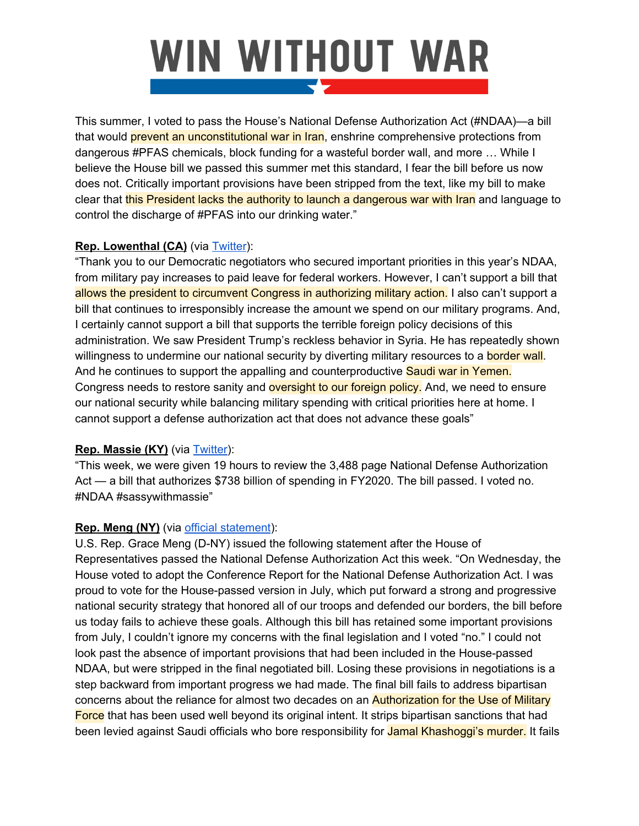### **WIN WITHOUT WAR** <u> The Community of the Community of the Community of the Community of the Community of the Community of the Com</u>

This summer, I voted to pass the House's National Defense Authorization Act (#NDAA)—a bill that would prevent an unconstitutional war in Iran, enshrine comprehensive protections from dangerous #PFAS chemicals, block funding for a wasteful border wall, and more … While I believe the House bill we passed this summer met this standard, I fear the bill before us now does not. Critically important provisions have been stripped from the text, like my bill to make clear that this President lacks the authority to launch a dangerous war with Iran and language to control the discharge of #PFAS into our drinking water."

#### **Rep. Lowenthal (CA)** (via [Twitter](https://twitter.com/RepLowenthal/status/1204905362916290561)):

"Thank you to our Democratic negotiators who secured important priorities in this year's NDAA, from military pay increases to paid leave for federal workers. However, I can't support a bill that allows the president to circumvent Congress in authorizing military action. I also can't support a bill that continues to irresponsibly increase the amount we spend on our military programs. And, I certainly cannot support a bill that supports the terrible foreign policy decisions of this administration. We saw President Trump's reckless behavior in Syria. He has repeatedly shown willingness to undermine our national security by diverting military resources to a **border wall**. And he continues to support the appalling and counterproductive Saudi war in Yemen. Congress needs to restore sanity and **oversight to our foreign policy.** And, we need to ensure our national security while balancing military spending with critical priorities here at home. I cannot support a defense authorization act that does not advance these goals"

#### **Rep. Massie (KY)** (via [Twitter\)](https://twitter.com/RepThomasMassie/status/1205244775630327808):

"This week, we were given 19 hours to review the 3,488 page National Defense Authorization Act — a bill that authorizes \$738 billion of spending in FY2020. The bill passed. I voted no. #NDAA #sassywithmassie"

#### **Rep. Meng (NY)** (via official [statement\)](https://meng.house.gov/media-center/press-releases/meng-statement-on-2020-defense-spending-bill):

U.S. Rep. Grace Meng (D-NY) issued the following statement after the House of Representatives passed the National Defense Authorization Act this week. "On Wednesday, the House voted to adopt the Conference Report for the National Defense Authorization Act. I was proud to vote for the House-passed version in July, which put forward a strong and progressive national security strategy that honored all of our troops and defended our borders, the bill before us today fails to achieve these goals. Although this bill has retained some important provisions from July, I couldn't ignore my concerns with the final legislation and I voted "no." I could not look past the absence of important provisions that had been included in the House-passed NDAA, but were stripped in the final negotiated bill. Losing these provisions in negotiations is a step backward from important progress we had made. The final bill fails to address bipartisan concerns about the reliance for almost two decades on an Authorization for the Use of Military Force that has been used well beyond its original intent. It strips bipartisan sanctions that had been levied against Saudi officials who bore responsibility for Jamal Khashoggi's murder. It fails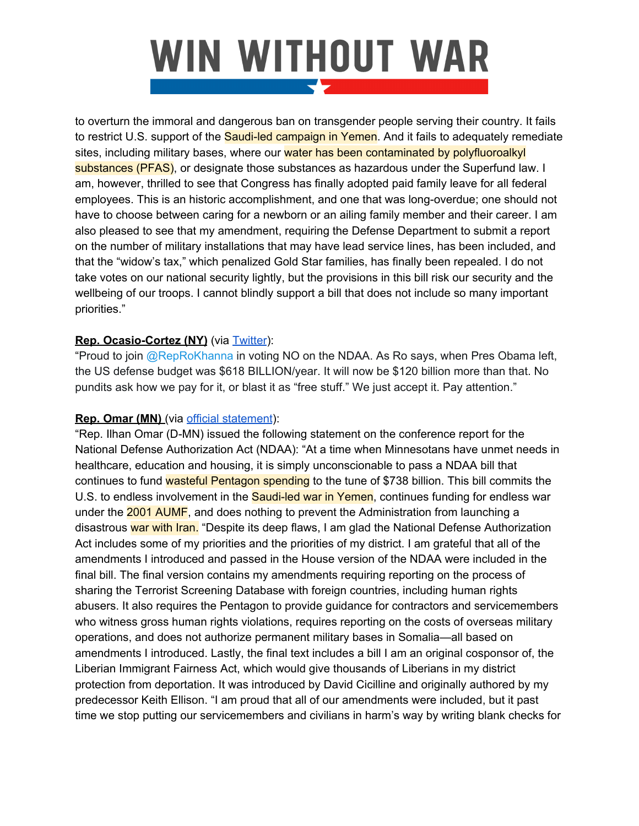### **WIN WITHOUT WAR Contract Contract Contract**

to overturn the immoral and dangerous ban on transgender people serving their country. It fails to restrict U.S. support of the **Saudi-led campaign in Yemen**. And it fails to adequately remediate sites, including military bases, where our water has been contaminated by polyfluoroalkyl substances (PFAS), or designate those substances as hazardous under the Superfund law. I am, however, thrilled to see that Congress has finally adopted paid family leave for all federal employees. This is an historic accomplishment, and one that was long-overdue; one should not have to choose between caring for a newborn or an ailing family member and their career. I am also pleased to see that my amendment, requiring the Defense Department to submit a report on the number of military installations that may have lead service lines, has been included, and that the "widow's tax," which penalized Gold Star families, has finally been repealed. I do not take votes on our national security lightly, but the provisions in this bill risk our security and the wellbeing of our troops. I cannot blindly support a bill that does not include so many important priorities."

#### **Rep. Ocasio-Cortez (NY)** (via [Twitter\)](https://twitter.com/AOC/status/1205123720693604352?s=20):

"Proud to joi[n](https://twitter.com/RepRoKhanna) [@RepRoKhanna](https://twitter.com/RepRoKhanna) in voting NO on the NDAA. As Ro says, when Pres Obama left, the US defense budget was \$618 BILLION/year. It will now be \$120 billion more than that. No pundits ask how we pay for it, or blast it as "free stuff." We just accept it. Pay attention."

#### **Rep. Omar (MN)** (via official [statement](https://omar.house.gov/media/press-releases/rep-ilhan-omar-statement-national-defense-authorization-act)):

"Rep. Ilhan Omar (D-MN) issued the following statement on the conference report for the National Defense Authorization Act (NDAA): "At a time when Minnesotans have unmet needs in healthcare, education and housing, it is simply unconscionable to pass a NDAA bill that continues to fund wasteful Pentagon spending to the tune of \$738 billion. This bill commits the U.S. to endless involvement in the Saudi-led war in Yemen, continues funding for endless war under the 2001 AUMF, and does nothing to prevent the Administration from launching a disastrous war with Iran. "Despite its deep flaws, I am glad the National Defense Authorization Act includes some of my priorities and the priorities of my district. I am grateful that all of the amendments I introduced and passed in the House version of the NDAA were included in the final bill. The final version contains my amendments requiring reporting on the process of sharing the Terrorist Screening Database with foreign countries, including human rights abusers. It also requires the Pentagon to provide guidance for contractors and servicemembers who witness gross human rights violations, requires reporting on the costs of overseas military operations, and does not authorize permanent military bases in Somalia—all based on amendments I introduced. Lastly, the final text includes a bill I am an original cosponsor of, the Liberian Immigrant Fairness Act, which would give thousands of Liberians in my district protection from deportation. It was introduced by David Cicilline and originally authored by my predecessor Keith Ellison. "I am proud that all of our amendments were included, but it past time we stop putting our servicemembers and civilians in harm's way by writing blank checks for